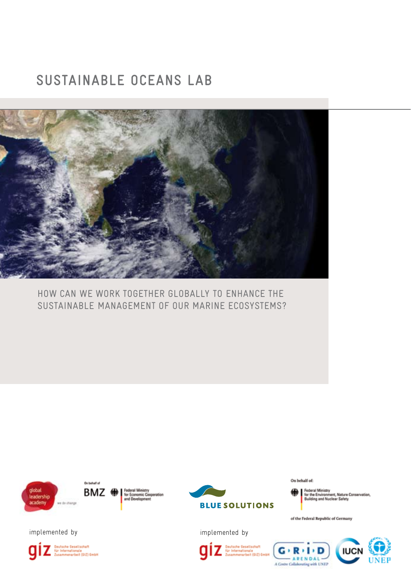## **SUSTAINABLE OCEANS LAB**



HOW CAN WE WORK TOGETHER GLOBALLY TO ENHANCE THE SUSTAINABLE MANAGEMENT OF OUR MARINE ECOSYSTEMS?







On behalf of:



of the Federal Republic of Germany

implemented by implemented by

**Seutsche Gesellschaft<br>Sie Internationale**<br>Zusammenarbeit (GIZ) GmbH q

Geotsche Gesellschaft<br>für Internationale<br>Zusammenarbeit (GIZ) GmbH

 $R<sub>1</sub>$  D G - ARENDAL-A Centre Collaborating with UNEP

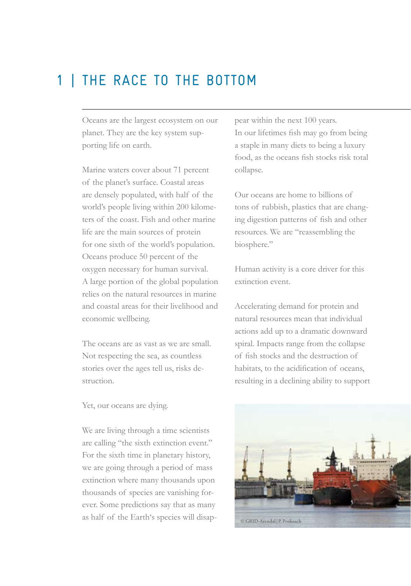## 1 | THE RACE TO THE BOTTOM

Oceans are the largest ecosystem on our planet. They are the key system supporting life on earth.

Marine waters cover about 71 percent of the planet's surface. Coastal areas are densely populated, with half of the world's people living within 200 kilometers of the coast. Fish and other marine life are the main sources of protein for one sixth of the world's population. Oceans produce 50 percent of the oxygen necessary for human survival. A large portion of the global population relies on the natural resources in marine and coastal areas for their livelihood and economic wellbeing.

The oceans are as vast as we are small. Not respecting the sea, as countless stories over the ages tell us, risks destruction.

Yet, our oceans are dying.

We are living through a time scientists are calling "the sixth extinction event." For the sixth time in planetary history, we are going through a period of mass extinction where many thousands upon thousands of species are vanishing forever. Some predictions say that as many as half of the Earth's species will disap-

pear within the next 100 years. In our lifetimes fish may go from being a staple in many diets to being a luxury food, as the oceans fish stocks risk total collapse.

Our oceans are home to billions of tons of rubbish, plastics that are changing digestion patterns of fish and other resources. We are "reassembling the biosphere."

Human activity is a core driver for this extinction event.

Accelerating demand for protein and natural resources mean that individual actions add up to a dramatic downward spiral. Impacts range from the collapse of fish stocks and the destruction of habitats, to the acidification of oceans, resulting in a declining ability to support

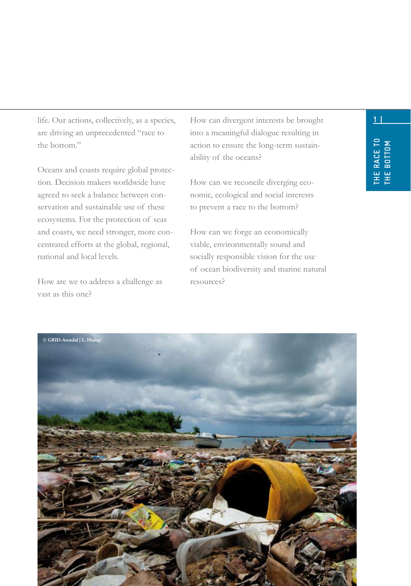are driving an unprecedented "race to the bottom"

Oceans and coasts require global protection. Decision makers worldwide have agreed to seek a balance between conservation and sustainable use of these ecosystems. For the protection of seas and coasts, we need stronger, more concentrated efforts at the global, regional, national and local levels.

How are we to address a challenge as vast as this one?

life. Our actions, collectively, as a species, **1 | 1 |** How can divergent interests be brought into a meaningful dialogue resulting in action to ensure the long-term sustainability of the oceans?

> How can we reconcile diverging economic, ecological and social interests to prevent a race to the bottom?

How can we forge an economically viable, environmentally sound and socially responsible vision for the use of ocean biodiversity and marine natural resources?

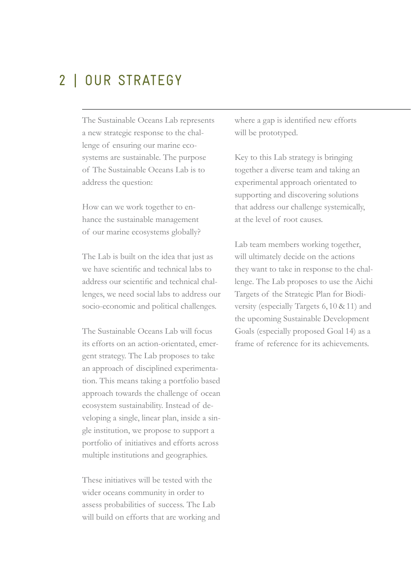## 2 | OUR STRATEGY

The Sustainable Oceans Lab represents a new strategic response to the challenge of ensuring our marine ecosystems are sustainable. The purpose of The Sustainable Oceans Lab is to address the question:

How can we work together to enhance the sustainable management of our marine ecosystems globally?

The Lab is built on the idea that just as we have scientific and technical labs to address our scientific and technical challenges, we need social labs to address our socio-economic and political challenges.

The Sustainable Oceans Lab will focus its efforts on an action-orientated, emergent strategy. The Lab proposes to take an approach of disciplined experimentation. This means taking a portfolio based approach towards the challenge of ocean ecosystem sustainability. Instead of developing a single, linear plan, inside a single institution, we propose to support a portfolio of initiatives and efforts across multiple institutions and geographies.

These initiatives will be tested with the wider oceans community in order to assess probabilities of success. The Lab will build on efforts that are working and where a gap is identified new efforts will be prototyped.

Key to this Lab strategy is bringing together a diverse team and taking an experimental approach orientated to supporting and discovering solutions that address our challenge systemically, at the level of root causes.

Lab team members working together, will ultimately decide on the actions they want to take in response to the challenge. The Lab proposes to use the Aichi Targets of the Strategic Plan for Biodiversity (especially Targets 6, 10 & 11) and the upcoming Sustainable Development Goals (especially proposed Goal 14) as a frame of reference for its achievements.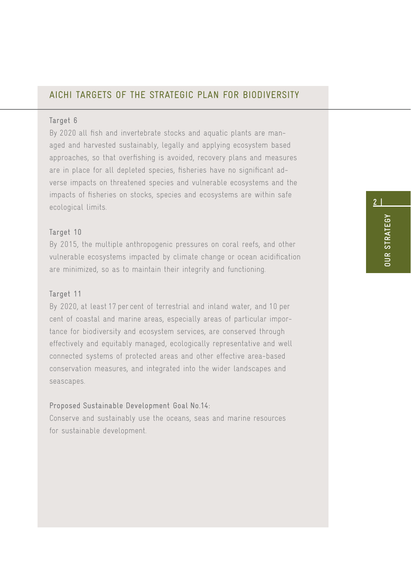#### AICHI TARGETS OF THE STRATEGIC PLAN FOR BIODIVERSITY

#### Target 6

By 2020 all fish and invertebrate stocks and aquatic plants are managed and harvested sustainably, legally and applying ecosystem based approaches, so that overfishing is avoided, recovery plans and measures are in place for all depleted species, fisheries have no significant adverse impacts on threatened species and vulnerable ecosystems and the impacts of fisheries on stocks, species and ecosystems are within safe ecological limits.

#### Target 10

By 2015, the multiple anthropogenic pressures on coral reefs, and other vulnerable ecosystems impacted by climate change or ocean acidification are minimized, so as to maintain their integrity and functioning.

#### Target 11

By 2020, at least 17 per cent of terrestrial and inland water, and 10 per cent of coastal and marine areas, especially areas of particular importance for biodiversity and ecosystem services, are conserved through effectively and equitably managed, ecologically representative and well connected systems of protected areas and other effective area-based conservation measures, and integrated into the wider landscapes and seascapes.

#### Proposed Sustainable Development Goal No. 14:

Conserve and sustainably use the oceans, seas and marine resources for sustainable development.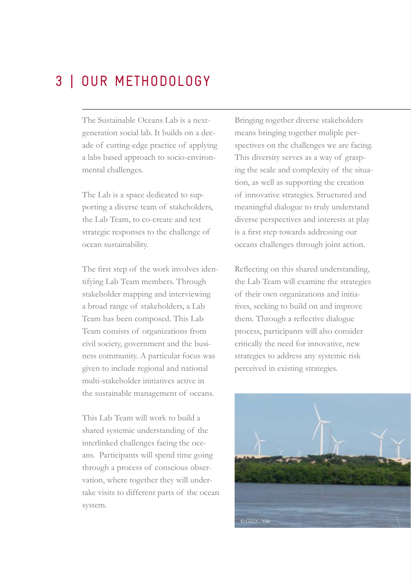## 3 | OUR METHODOLOGY

The Sustainable Oceans Lab is a nextgeneration social lab. It builds on a decade of cutting-edge practice of applying a labs based approach to socio-environmental challenges.

The Lab is a space dedicated to supporting a diverse team of stakeholders, the Lab Team, to co-create and test strategic responses to the challenge of ocean sustainability.

The first step of the work involves identifying Lab Team members. Through stakeholder mapping and interviewing a broad range of stakeholders, a Lab Team has been composed. This Lab Team consists of organizations from civil society, government and the business community. A particular focus was given to include regional and national multi-stakeholder initiatives active in the sustainable management of oceans.

This Lab Team will work to build a shared systemic understanding of the interlinked challenges facing the oceans. Participants will spend time going through a process of conscious observation, where together they will undertake visits to different parts of the ocean system.

Bringing together diverse stakeholders means bringing together muliple perspectives on the challenges we are facing. This diversity serves as a way of grasping the scale and complexity of the situation, as well as supporting the creation of innovative strategies. Structured and meaningful dialogue to truly understand diverse perspectives and interests at play is a first step towards addressing our oceans challenges through joint action.

Reflecting on this shared understanding, the Lab Team will examine the strategies of their own organizations and initiatives, seeking to build on and improve them. Through a reflective dialogue process, participants will also consider critically the need for innovative, new strategies to address any systemic risk perceived in existing strategies.

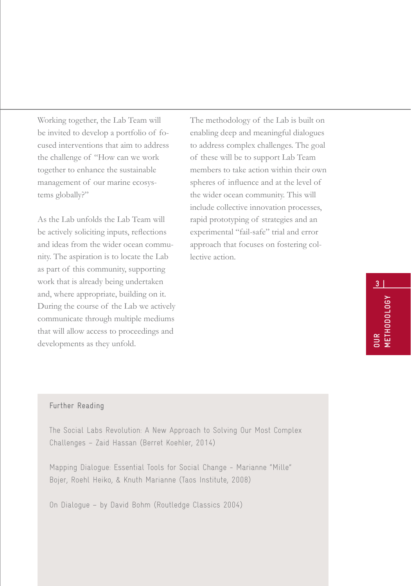Working together, the Lab Team will be invited to develop a portfolio of focused interventions that aim to address the challenge of "How can we work together to enhance the sustainable management of our marine ecosystems globally?"

As the Lab unfolds the Lab Team will be actively soliciting inputs, reflections and ideas from the wider ocean community. The aspiration is to locate the Lab as part of this community, supporting work that is already being undertaken and, where appropriate, building on it. During the course of the Lab we actively communicate through multiple mediums that will allow access to proceedings and developments as they unfold.

The methodology of the Lab is built on enabling deep and meaningful dialogues to address complex challenges. The goal of these will be to support Lab Team members to take action within their own spheres of influence and at the level of the wider ocean community. This will include collective innovation processes, rapid prototyping of strategies and an experimental "fail-safe" trial and error approach that focuses on fostering collective action.

# **OUR METHODOLOGY**

**3 |**

#### Further Reading

The Social Labs Revolution: A New Approach to Solving Our Most Complex Challenges – Zaid Hassan (Berret Koehler, 2014)

Mapping Dialogue: Essential Tools for Social Change - Marianne "Mille" Bojer, Roehl Heiko, & Knuth Marianne (Taos Institute, 2008)

On Dialogue – by David Bohm (Routledge Classics 2004)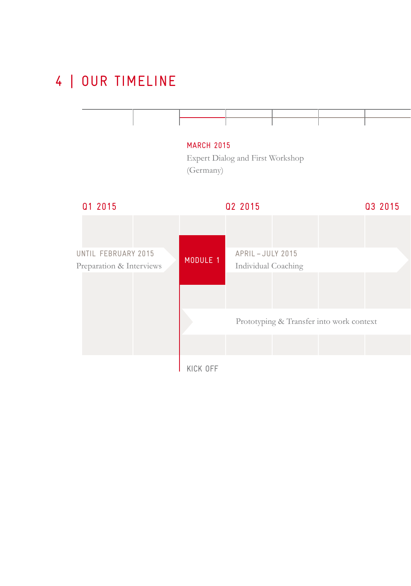## 4 | OUR TIMELINE

|                                                 |  | <b>MARCH 2015</b><br>(Germany) | Expert Dialog and First Workshop       |                                          |         |
|-------------------------------------------------|--|--------------------------------|----------------------------------------|------------------------------------------|---------|
| 01 2015                                         |  | 02 2015                        |                                        |                                          | 03 2015 |
| UNTIL FEBRUARY 2015<br>Preparation & Interviews |  | MODULE 1                       | APRIL-JULY 2015<br>Individual Coaching |                                          |         |
|                                                 |  |                                |                                        | Prototyping & Transfer into work context |         |
|                                                 |  |                                |                                        |                                          |         |
|                                                 |  | KICK OFF                       |                                        |                                          |         |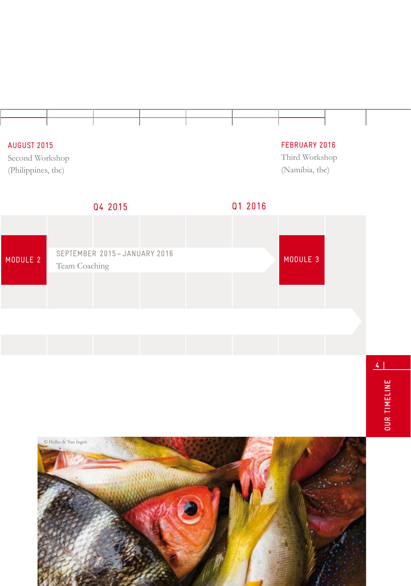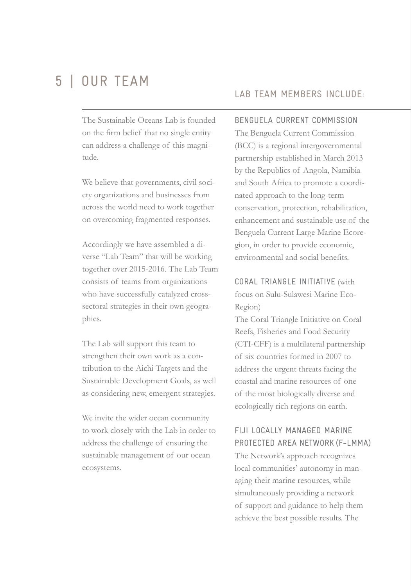## 5 | OUR TEAM

The Sustainable Oceans Lab is founded on the firm belief that no single entity can address a challenge of this magnitude.

We believe that governments, civil society organizations and businesses from across the world need to work together on overcoming fragmented responses.

Accordingly we have assembled a diverse "Lab Team" that will be working together over 2015-2016. The Lab Team consists of teams from organizations who have successfully catalyzed crosssectoral strategies in their own geographies.

The Lab will support this team to strengthen their own work as a contribution to the Aichi Targets and the Sustainable Development Goals, as well as considering new, emergent strategies.

We invite the wider ocean community to work closely with the Lab in order to address the challenge of ensuring the sustainable management of our ocean ecosystems.

#### LAB TEAM MEMBERS INCLUDE:

BENGUELA CURRENT COMMISSION

The Benguela Current Commission (BCC) is a regional intergovernmental partnership established in March 2013 by the Republics of Angola, Namibia and South Africa to promote a coordinated approach to the long-term conservation, protection, rehabilitation, enhancement and sustainable use of the Benguela Current Large Marine Ecoregion, in order to provide economic, environmental and social benefits.

CORAL TRIANGLE INITIATIVE (with focus on Sulu-Sulawesi Marine Eco-Region)

The Coral Triangle Initiative on Coral Reefs, Fisheries and Food Security (CTI-CFF) is a multilateral partnership of six countries formed in 2007 to address the urgent threats facing the coastal and marine resources of one of the most biologically diverse and ecologically rich regions on earth.

#### FIJI LOCALLY MANAGED MARINE PROTECTED AREA NETWORK (F-LMMA)

The Network's approach recognizes local communities' autonomy in managing their marine resources, while simultaneously providing a network of support and guidance to help them achieve the best possible results. The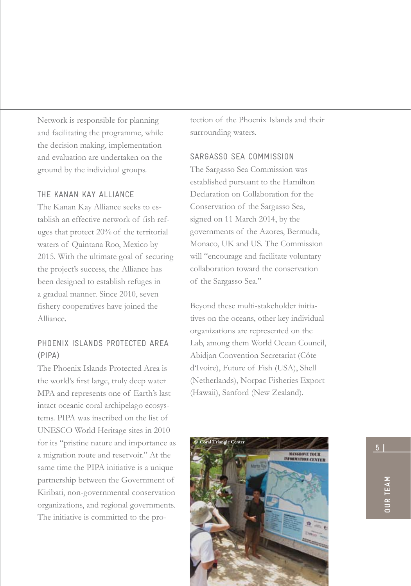Network is responsible for planning and facilitating the programme, while the decision making, implementation and evaluation are undertaken on the ground by the individual groups.

#### THE KANAN KAY ALLIANCE

The Kanan Kay Alliance seeks to establish an effective network of fish refuges that protect 20% of the territorial waters of Quintana Roo, Mexico by 2015. With the ultimate goal of securing the project's success, the Alliance has been designed to establish refuges in a gradual manner. Since 2010, seven fishery cooperatives have joined the Alliance.

#### PHOENIX ISLANDS PROTECTED AREA (PIPA)

The Phoenix Islands Protected Area is the world's first large, truly deep water MPA and represents one of Earth's last intact oceanic coral archipelago ecosystems. PIPA was inscribed on the list of UNESCO World Heritage sites in 2010 for its "pristine nature and importance as a migration route and reservoir." At the same time the PIPA initiative is a unique partnership between the Government of Kiribati, non-governmental conservation organizations, and regional governments. The initiative is committed to the protection of the Phoenix Islands and their surrounding waters.

#### SARGASSO SEA COMMISSION

The Sargasso Sea Commission was established pursuant to the Hamilton Declaration on Collaboration for the Conservation of the Sargasso Sea, signed on 11 March 2014, by the governments of the Azores, Bermuda, Monaco, UK and US. The Commission will "encourage and facilitate voluntary collaboration toward the conservation of the Sargasso Sea."

Beyond these multi-stakeholder initiatives on the oceans, other key individual organizations are represented on the Lab, among them World Ocean Council, Abidjan Convention Secretariat (Côte d'Ivoire), Future of Fish (USA), Shell (Netherlands), Norpac Fisheries Export (Hawaii), Sanford (New Zealand).

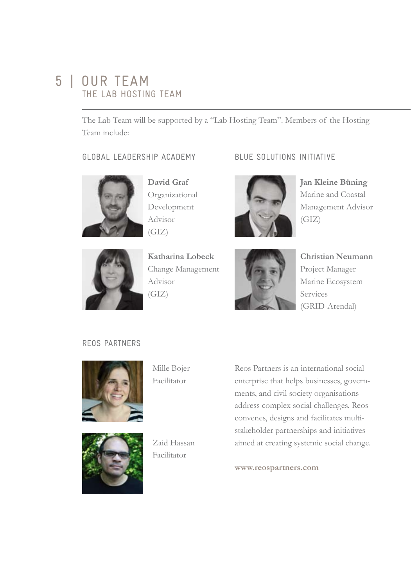## 5 | OUR TEAM THE LAB HOSTING TEAM

The Lab Team will be supported by a "Lab Hosting Team". Members of the Hosting Team include:

#### GLOBAL LEADERSHIP ACADEMY



**David Graf** Organizational Development Advisor (GIZ)

**Katharina Lobeck** Change Management Advisor (GIZ)

#### BLUE SOLUTIONS INITIATIVE



**Jan Kleine Büning** Marine and Coastal Management Advisor (GIZ)



**Christian Neumann**  Project Manager Marine Ecosystem Services (GRID-Arendal)

#### REOS PARTNERS



Mille Bojer Facilitator



Zaid Hassan Facilitator

Reos Partners is an international social enterprise that helps businesses, governments, and civil society organisations address complex social challenges. Reos convenes, designs and facilitates multistakeholder partnerships and initiatives aimed at creating systemic social change.

**www.reospartners.com**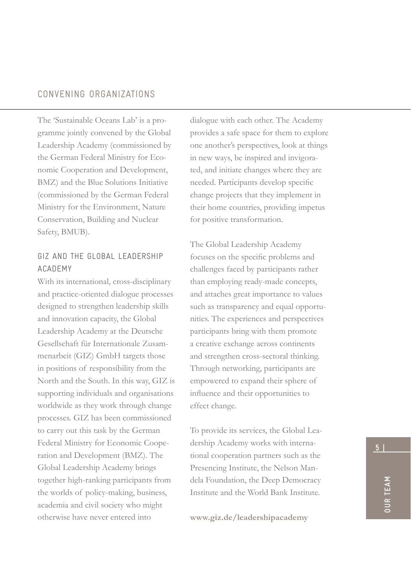#### CONVENING ORGANIZATIONS

The 'Sustainable Oceans Lab' is a programme jointly convened by the Global Leadership Academy (commissioned by the German Federal Ministry for Economic Cooperation and Development, BMZ) and the Blue Solutions Initiative (commissioned by the German Federal Ministry for the Environment, Nature Conservation, Building and Nuclear Safety, BMUB).

#### GIZ AND THE GLOBAL LEADERSHIP ACADEMY

With its international, cross-disciplinary and practice-oriented dialogue processes designed to strengthen leadership skills and innovation capacity, the Global Leadership Academy at the Deutsche Gesellschaft für Internationale Zusammenarbeit (GIZ) GmbH targets those in positions of responsibility from the North and the South. In this way, GIZ is supporting individuals and organisations worldwide as they work through change processes. GIZ has been commissioned to carry out this task by the German Federal Ministry for Economic Cooperation and Development (BMZ). The Global Leadership Academy brings together high-ranking participants from the worlds of policy-making, business, academia and civil society who might otherwise have never entered into

dialogue with each other. The Academy provides a safe space for them to explore one another's perspectives, look at things in new ways, be inspired and invigorated, and initiate changes where they are needed. Participants develop specific change projects that they implement in their home countries, providing impetus for positive transformation.

The Global Leadership Academy focuses on the specific problems and challenges faced by participants rather than employing ready-made concepts, and attaches great importance to values such as transparency and equal opportunities. The experiences and perspectives participants bring with them promote a creative exchange across continents and strengthen cross-sectoral thinking. Through networking, participants are empowered to expand their sphere of influence and their opportunities to effect change.

To provide its services, the Global Leadership Academy works with international cooperation partners such as the Presencing Institute, the Nelson Mandela Foundation, the Deep Democracy Institute and the World Bank Institute.

**www.giz.de/leadershipacademy**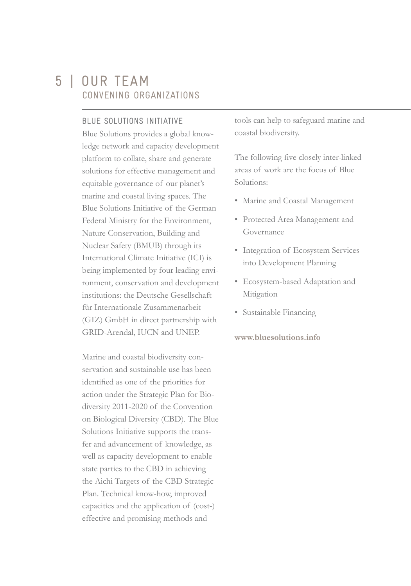## 5 | OUR TEAM CONVENING ORGANIZATIONS

#### BLUE SOLUTIONS INITIATIVE

Blue Solutions provides a global knowledge network and capacity development platform to collate, share and generate solutions for effective management and equitable governance of our planet's marine and coastal living spaces. The Blue Solutions Initiative of the German Federal Ministry for the Environment, Nature Conservation, Building and Nuclear Safety (BMUB) through its International Climate Initiative (ICI) is being implemented by four leading environment, conservation and development institutions: the Deutsche Gesellschaft für Internationale Zusammenarbeit (GIZ) GmbH in direct partnership with GRID-Arendal, IUCN and UNEP.

Marine and coastal biodiversity conservation and sustainable use has been identified as one of the priorities for action under the Strategic Plan for Biodiversity 2011-2020 of the Convention on Biological Diversity (CBD). The Blue Solutions Initiative supports the transfer and advancement of knowledge, as well as capacity development to enable state parties to the CBD in achieving the Aichi Targets of the CBD Strategic Plan. Technical know-how, improved capacities and the application of (cost-) effective and promising methods and

tools can help to safeguard marine and coastal biodiversity.

The following five closely inter-linked areas of work are the focus of Blue Solutions:

- Marine and Coastal Management
- Protected Area Management and Governance
- Integration of Ecosystem Services into Development Planning
- Ecosystem-based Adaptation and Mitigation
- Sustainable Financing

#### **www.bluesolutions.info**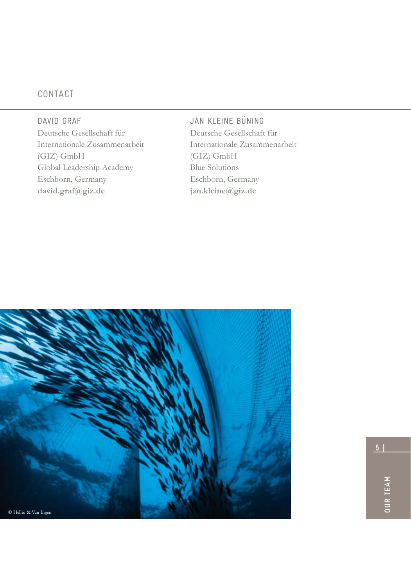### CONTACT

DAVID GRAF Deutsche Gesellschaft für Internationale Zusammenarbeit (GIZ) GmbH Global Leadership Academy Eschborn, Germany **david.graf@giz.de**

JAN KLEINE BÜNING Deutsche Gesellschaft für Internationale Zusammenarbeit (GIZ) GmbH Blue Solutions Eschborn, Germany **jan.kleine@giz.de**